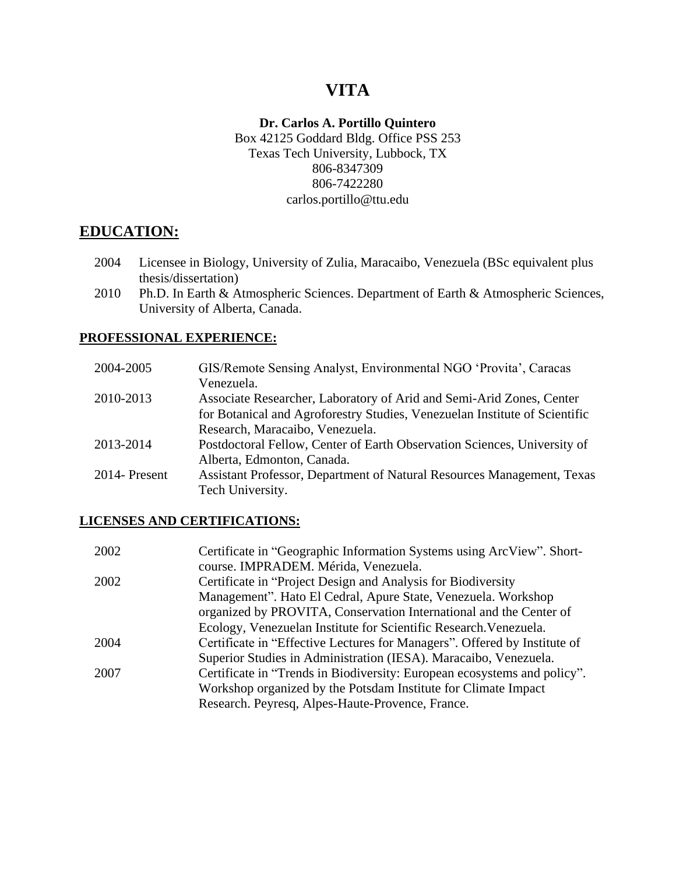# **VITA**

### **Dr. Carlos A. Portillo Quintero**

Box 42125 Goddard Bldg. Office PSS 253 Texas Tech University, Lubbock, TX 806-8347309 806-7422280 carlos.portillo@ttu.edu

# **EDUCATION:**

- 2004 Licensee in Biology, University of Zulia, Maracaibo, Venezuela (BSc equivalent plus thesis/dissertation)
- 2010 Ph.D. In Earth & Atmospheric Sciences. Department of Earth & Atmospheric Sciences, University of Alberta, Canada.

#### **PROFESSIONAL EXPERIENCE:**

| 2004-2005     | GIS/Remote Sensing Analyst, Environmental NGO 'Provita', Caracas           |
|---------------|----------------------------------------------------------------------------|
|               | Venezuela.                                                                 |
| 2010-2013     | Associate Researcher, Laboratory of Arid and Semi-Arid Zones, Center       |
|               | for Botanical and Agroforestry Studies, Venezuelan Institute of Scientific |
|               | Research, Maracaibo, Venezuela.                                            |
| 2013-2014     | Postdoctoral Fellow, Center of Earth Observation Sciences, University of   |
|               | Alberta, Edmonton, Canada.                                                 |
| 2014- Present | Assistant Professor, Department of Natural Resources Management, Texas     |
|               | Tech University.                                                           |

#### **LICENSES AND CERTIFICATIONS:**

| 2002 | Certificate in "Geographic Information Systems using ArcView". Short-     |
|------|---------------------------------------------------------------------------|
|      | course. IMPRADEM. Mérida, Venezuela.                                      |
| 2002 | Certificate in "Project Design and Analysis for Biodiversity              |
|      | Management". Hato El Cedral, Apure State, Venezuela. Workshop             |
|      | organized by PROVITA, Conservation International and the Center of        |
|      | Ecology, Venezuelan Institute for Scientific Research. Venezuela.         |
| 2004 | Certificate in "Effective Lectures for Managers". Offered by Institute of |
|      | Superior Studies in Administration (IESA). Maracaibo, Venezuela.          |
| 2007 | Certificate in "Trends in Biodiversity: European ecosystems and policy".  |
|      | Workshop organized by the Potsdam Institute for Climate Impact            |
|      | Research. Peyresq, Alpes-Haute-Provence, France.                          |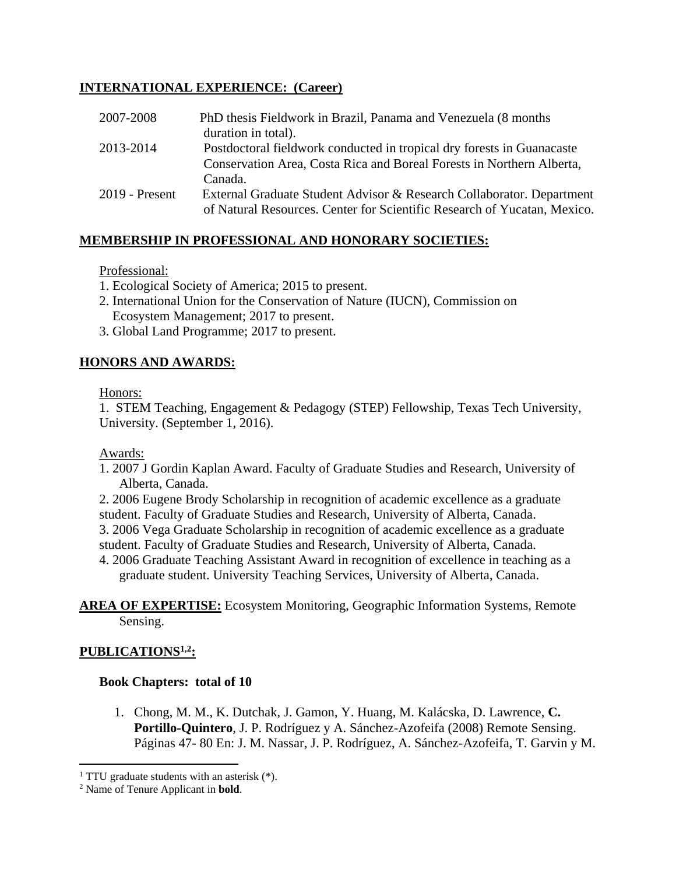### **INTERNATIONAL EXPERIENCE: (Career)**

| 2007-2008        | PhD thesis Fieldwork in Brazil, Panama and Venezuela (8 months)          |
|------------------|--------------------------------------------------------------------------|
|                  | duration in total).                                                      |
| 2013-2014        | Postdoctoral fieldwork conducted in tropical dry forests in Guanacaste   |
|                  | Conservation Area, Costa Rica and Boreal Forests in Northern Alberta,    |
|                  | Canada.                                                                  |
| $2019$ - Present | External Graduate Student Advisor & Research Collaborator. Department    |
|                  | of Natural Resources. Center for Scientific Research of Yucatan, Mexico. |

# **MEMBERSHIP IN PROFESSIONAL AND HONORARY SOCIETIES:**

### Professional:

- 1. Ecological Society of America; 2015 to present.
- 2. International Union for the Conservation of Nature (IUCN), Commission on Ecosystem Management; 2017 to present.
- 3. Global Land Programme; 2017 to present.

### **HONORS AND AWARDS:**

#### Honors:

1. STEM Teaching, Engagement & Pedagogy (STEP) Fellowship, Texas Tech University, University. (September 1, 2016).

### Awards:

- 1. 2007 J Gordin Kaplan Award. Faculty of Graduate Studies and Research, University of Alberta, Canada.
- 2. 2006 Eugene Brody Scholarship in recognition of academic excellence as a graduate student. Faculty of Graduate Studies and Research, University of Alberta, Canada.
- 3. 2006 Vega Graduate Scholarship in recognition of academic excellence as a graduate
- student. Faculty of Graduate Studies and Research, University of Alberta, Canada.
- 4. 2006 Graduate Teaching Assistant Award in recognition of excellence in teaching as a graduate student. University Teaching Services, University of Alberta, Canada.

#### **AREA OF EXPERTISE:** Ecosystem Monitoring, Geographic Information Systems, Remote Sensing.

### **PUBLICATIONS1,2 :**

 $\overline{\phantom{a}}$ 

### **Book Chapters: total of 10**

1. Chong, M. M., K. Dutchak, J. Gamon, Y. Huang, M. Kalácska, D. Lawrence, **C. Portillo-Quintero**, J. P. Rodríguez y A. Sánchez-Azofeifa (2008) Remote Sensing. Páginas 47- 80 En: J. M. Nassar, J. P. Rodríguez, A. Sánchez-Azofeifa, T. Garvin y M.

<sup>&</sup>lt;sup>1</sup> TTU graduate students with an asterisk  $(*)$ .

<sup>2</sup> Name of Tenure Applicant in **bold**.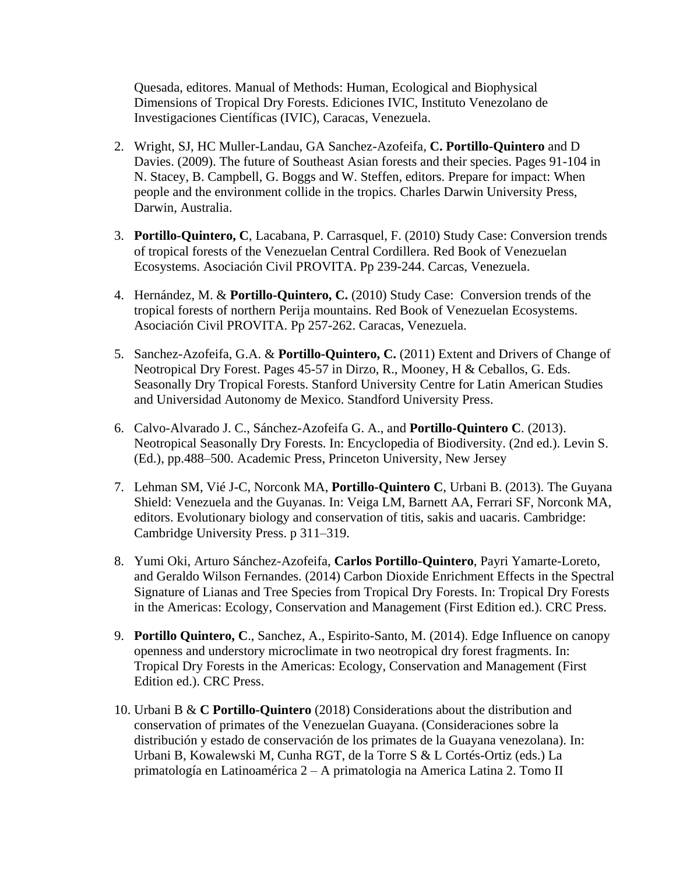Quesada, editores. Manual of Methods: Human, Ecological and Biophysical Dimensions of Tropical Dry Forests. Ediciones IVIC, Instituto Venezolano de Investigaciones Científicas (IVIC), Caracas, Venezuela.

- 2. Wright, SJ, HC Muller-Landau, GA Sanchez-Azofeifa, **C. Portillo-Quintero** and D Davies. (2009). The future of Southeast Asian forests and their species. Pages 91-104 in N. Stacey, B. Campbell, G. Boggs and W. Steffen, editors. Prepare for impact: When people and the environment collide in the tropics. Charles Darwin University Press, Darwin, Australia.
- 3. **Portillo-Quintero, C**, Lacabana, P. Carrasquel, F. (2010) Study Case: Conversion trends of tropical forests of the Venezuelan Central Cordillera. Red Book of Venezuelan Ecosystems. Asociación Civil PROVITA. Pp 239-244. Carcas, Venezuela.
- 4. Hernández, M. & **Portillo-Quintero, C.** (2010) Study Case: Conversion trends of the tropical forests of northern Perija mountains. Red Book of Venezuelan Ecosystems. Asociación Civil PROVITA. Pp 257-262. Caracas, Venezuela.
- 5. Sanchez-Azofeifa, G.A. & **Portillo-Quintero, C.** (2011) Extent and Drivers of Change of Neotropical Dry Forest. Pages 45-57 in Dirzo, R., Mooney, H & Ceballos, G. Eds. Seasonally Dry Tropical Forests. Stanford University Centre for Latin American Studies and Universidad Autonomy de Mexico. Standford University Press.
- 6. Calvo-Alvarado J. C., Sánchez-Azofeifa G. A., and **Portillo-Quintero C**. (2013). Neotropical Seasonally Dry Forests. In: Encyclopedia of Biodiversity. (2nd ed.). Levin S. (Ed.), pp.488–500. Academic Press, Princeton University, New Jersey
- 7. Lehman SM, Vié J-C, Norconk MA, **Portillo-Quintero C**, Urbani B. (2013). The Guyana Shield: Venezuela and the Guyanas. In: Veiga LM, Barnett AA, Ferrari SF, Norconk MA, editors. Evolutionary biology and conservation of titis, sakis and uacaris. Cambridge: Cambridge University Press. p 311–319.
- 8. Yumi Oki, Arturo Sánchez-Azofeifa, **Carlos Portillo-Quintero**, Payri Yamarte-Loreto, and Geraldo Wilson Fernandes. (2014) Carbon Dioxide Enrichment Effects in the Spectral Signature of Lianas and Tree Species from Tropical Dry Forests. In: Tropical Dry Forests in the Americas: Ecology, Conservation and Management (First Edition ed.). CRC Press.
- 9. **Portillo Quintero, C**., Sanchez, A., Espirito-Santo, M. (2014). Edge Influence on canopy openness and understory microclimate in two neotropical dry forest fragments. In: Tropical Dry Forests in the Americas: Ecology, Conservation and Management (First Edition ed.). CRC Press.
- 10. Urbani B & **C Portillo-Quintero** (2018) Considerations about the distribution and conservation of primates of the Venezuelan Guayana. (Consideraciones sobre la distribución y estado de conservación de los primates de la Guayana venezolana). In: Urbani B, Kowalewski M, Cunha RGT, de la Torre S & L Cortés-Ortiz (eds.) La primatología en Latinoamérica 2 – A primatologia na America Latina 2. Tomo II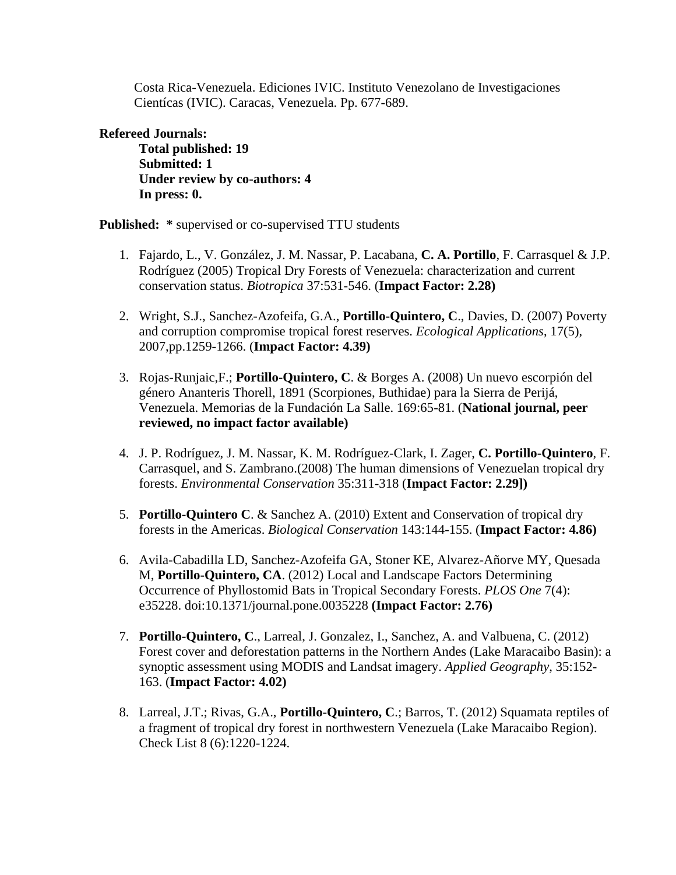Costa Rica-Venezuela. Ediciones IVIC. Instituto Venezolano de Investigaciones Cientícas (IVIC). Caracas, Venezuela. Pp. 677-689.

#### **Refereed Journals:**

**Total published: 19 Submitted: 1 Under review by co-authors: 4 In press: 0.**

**Published: \*** supervised or co-supervised TTU students

- 1. Fajardo, L., V. González, J. M. Nassar, P. Lacabana, **C. A. Portillo**, F. Carrasquel & J.P. Rodríguez (2005) Tropical Dry Forests of Venezuela: characterization and current conservation status. *Biotropica* 37:531-546. (**Impact Factor: 2.28)**
- 2. Wright, S.J., Sanchez-Azofeifa, G.A., **Portillo-Quintero, C**., Davies, D. (2007) Poverty and corruption compromise tropical forest reserves. *Ecological Applications*, 17(5), 2007,pp.1259-1266. (**Impact Factor: 4.39)**
- 3. Rojas-Runjaic,F.; **Portillo-Quintero, C**. & Borges A. (2008) Un nuevo escorpión del género Ananteris Thorell, 1891 (Scorpiones, Buthidae) para la Sierra de Perijá, Venezuela. Memorias de la Fundación La Salle. 169:65-81. (**National journal, peer reviewed, no impact factor available)**
- 4. J. P. Rodríguez, J. M. Nassar, K. M. Rodríguez-Clark, I. Zager, **C. Portillo-Quintero**, F. Carrasquel, and S. Zambrano.(2008) The human dimensions of Venezuelan tropical dry forests. *Environmental Conservation* 35:311-318 (**Impact Factor: 2.29])**
- 5. **Portillo-Quintero C**. & Sanchez A. (2010) Extent and Conservation of tropical dry forests in the Americas. *Biological Conservation* 143:144-155. (**Impact Factor: 4.86)**
- 6. Avila-Cabadilla LD, Sanchez-Azofeifa GA, Stoner KE, Alvarez-Añorve MY, Quesada M, **Portillo-Quintero, CA**. (2012) Local and Landscape Factors Determining Occurrence of Phyllostomid Bats in Tropical Secondary Forests. *PLOS One* 7(4): e35228. doi:10.1371/journal.pone.0035228 **(Impact Factor: 2.76)**
- 7. **Portillo-Quintero, C**., Larreal, J. Gonzalez, I., Sanchez, A. and Valbuena, C. (2012) Forest cover and deforestation patterns in the Northern Andes (Lake Maracaibo Basin): a synoptic assessment using MODIS and Landsat imagery. *Applied Geography*, 35:152- 163. (**Impact Factor: 4.02)**
- 8. Larreal, J.T.; Rivas, G.A., **Portillo-Quintero, C**.; Barros, T. (2012) Squamata reptiles of a fragment of tropical dry forest in northwestern Venezuela (Lake Maracaibo Region). Check List 8 (6):1220-1224.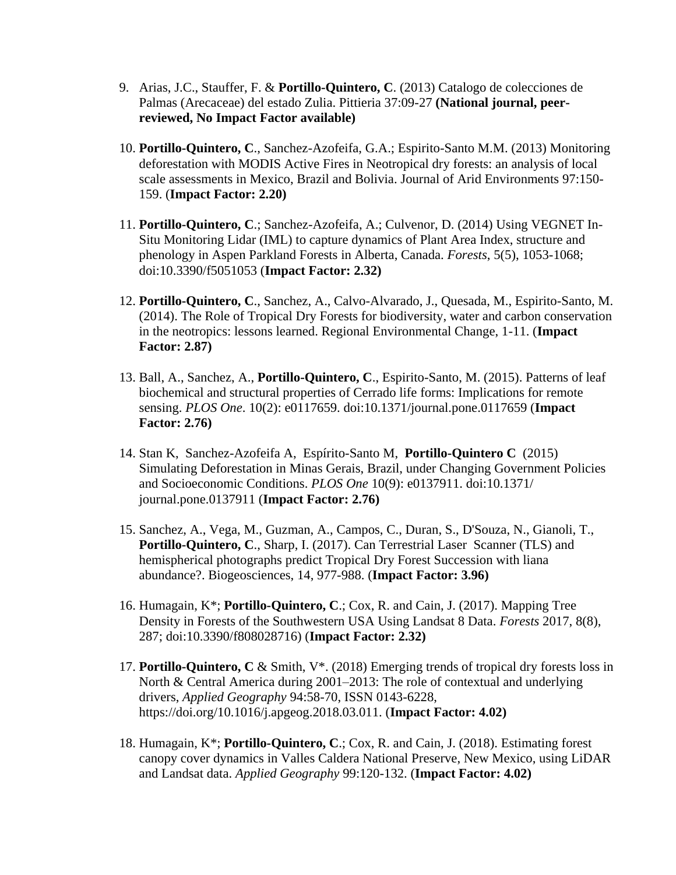- 9. Arias, J.C., Stauffer, F. & **Portillo-Quintero, C**. (2013) Catalogo de colecciones de Palmas (Arecaceae) del estado Zulia. Pittieria 37:09-27 **(National journal, peerreviewed, No Impact Factor available)**
- 10. **Portillo-Quintero, C**., Sanchez-Azofeifa, G.A.; Espirito-Santo M.M. (2013) Monitoring deforestation with MODIS Active Fires in Neotropical dry forests: an analysis of local scale assessments in Mexico, Brazil and Bolivia. Journal of Arid Environments 97:150- 159. (**Impact Factor: 2.20)**
- 11. **Portillo-Quintero, C**.; Sanchez-Azofeifa, A.; Culvenor, D. (2014) Using VEGNET In-Situ Monitoring Lidar (IML) to capture dynamics of Plant Area Index, structure and phenology in Aspen Parkland Forests in Alberta, Canada. *Forests*, 5(5), 1053-1068; doi:10.3390/f5051053 (**Impact Factor: 2.32)**
- 12. **Portillo-Quintero, C**., Sanchez, A., Calvo-Alvarado, J., Quesada, M., Espirito-Santo, M. (2014). The Role of Tropical Dry Forests for biodiversity, water and carbon conservation in the neotropics: lessons learned. Regional Environmental Change, 1-11. (**Impact Factor: 2.87)**
- 13. Ball, A., Sanchez, A., **Portillo-Quintero, C**., Espirito-Santo, M. (2015). Patterns of leaf biochemical and structural properties of Cerrado life forms: Implications for remote sensing. *PLOS One*. 10(2): e0117659. doi:10.1371/journal.pone.0117659 (**Impact Factor: 2.76)**
- 14. Stan K, Sanchez-Azofeifa A, Espírito-Santo M, **Portillo-Quintero C** (2015) Simulating Deforestation in Minas Gerais, Brazil, under Changing Government Policies and Socioeconomic Conditions. *PLOS One* 10(9): e0137911. doi:10.1371/ journal.pone.0137911 (**Impact Factor: 2.76)**
- 15. Sanchez, A., Vega, M., Guzman, A., Campos, C., Duran, S., D'Souza, N., Gianoli, T., **Portillo-Quintero, C**., Sharp, I. (2017). Can Terrestrial Laser Scanner (TLS) and hemispherical photographs predict Tropical Dry Forest Succession with liana abundance?. Biogeosciences, 14, 977-988. (**Impact Factor: 3.96)**
- 16. Humagain, K\*; **Portillo-Quintero, C**.; Cox, R. and Cain, J. (2017). Mapping Tree Density in Forests of the Southwestern USA Using Landsat 8 Data. *Forests* 2017, 8(8), 287; doi:10.3390/f808028716) (**Impact Factor: 2.32)**
- 17. **Portillo-Quintero, C** & Smith, V\*. (2018) Emerging trends of tropical dry forests loss in North & Central America during 2001–2013: The role of contextual and underlying drivers, *Applied Geography* 94:58-70, ISSN 0143-6228, https://doi.org/10.1016/j.apgeog.2018.03.011. (**Impact Factor: 4.02)**
- 18. Humagain, K\*; **Portillo-Quintero, C**.; Cox, R. and Cain, J. (2018). Estimating forest canopy cover dynamics in Valles Caldera National Preserve, New Mexico, using LiDAR and Landsat data. *Applied Geography* 99:120-132. (**Impact Factor: 4.02)**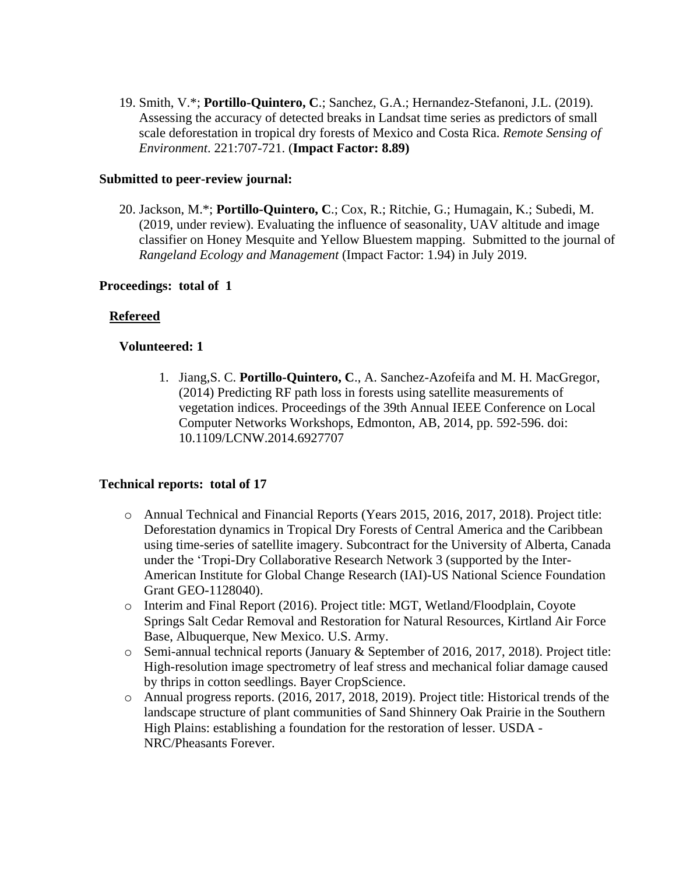19. Smith, V.\*; **Portillo-Quintero, C**.; Sanchez, G.A.; Hernandez-Stefanoni, J.L. (2019). Assessing the accuracy of detected breaks in Landsat time series as predictors of small scale deforestation in tropical dry forests of Mexico and Costa Rica. *Remote Sensing of Environment*. 221:707-721. (**Impact Factor: 8.89)**

#### **Submitted to peer-review journal:**

20. Jackson, M.\*; **Portillo-Quintero, C**.; Cox, R.; Ritchie, G.; Humagain, K.; Subedi, M. (2019, under review). Evaluating the influence of seasonality, UAV altitude and image classifier on Honey Mesquite and Yellow Bluestem mapping. Submitted to the journal of *Rangeland Ecology and Management* (Impact Factor: 1.94) in July 2019.

#### **Proceedings: total of 1**

#### **Refereed**

#### **Volunteered: 1**

1. Jiang,S. C. **Portillo-Quintero, C**., A. Sanchez-Azofeifa and M. H. MacGregor, (2014) Predicting RF path loss in forests using satellite measurements of vegetation indices. Proceedings of the 39th Annual IEEE Conference on Local Computer Networks Workshops, Edmonton, AB, 2014, pp. 592-596. doi: 10.1109/LCNW.2014.6927707

#### **Technical reports: total of 17**

- o Annual Technical and Financial Reports (Years 2015, 2016, 2017, 2018). Project title: Deforestation dynamics in Tropical Dry Forests of Central America and the Caribbean using time-series of satellite imagery. Subcontract for the University of Alberta, Canada under the 'Tropi-Dry Collaborative Research Network 3 (supported by the Inter-American Institute for Global Change Research (IAI)-US National Science Foundation Grant GEO-1128040).
- o Interim and Final Report (2016). Project title: MGT, Wetland/Floodplain, Coyote Springs Salt Cedar Removal and Restoration for Natural Resources, Kirtland Air Force Base, Albuquerque, New Mexico. U.S. Army.
- o Semi-annual technical reports (January & September of 2016, 2017, 2018). Project title: High-resolution image spectrometry of leaf stress and mechanical foliar damage caused by thrips in cotton seedlings. Bayer CropScience.
- o Annual progress reports. (2016, 2017, 2018, 2019). Project title: Historical trends of the landscape structure of plant communities of Sand Shinnery Oak Prairie in the Southern High Plains: establishing a foundation for the restoration of lesser. USDA - NRC/Pheasants Forever.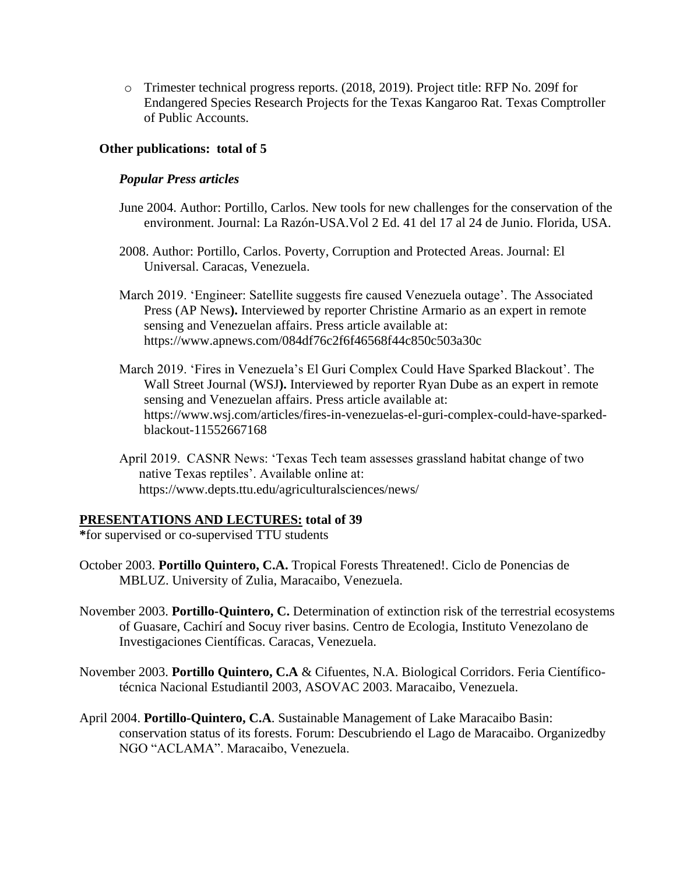o Trimester technical progress reports. (2018, 2019). Project title: RFP No. 209f for Endangered Species Research Projects for the Texas Kangaroo Rat. Texas Comptroller of Public Accounts.

#### **Other publications: total of 5**

#### *Popular Press articles*

- June 2004. Author: Portillo, Carlos. New tools for new challenges for the conservation of the environment. Journal: La Razón-USA.Vol 2 Ed. 41 del 17 al 24 de Junio. Florida, USA.
- 2008. Author: Portillo, Carlos. Poverty, Corruption and Protected Areas. Journal: El Universal. Caracas, Venezuela.
- March 2019. 'Engineer: Satellite suggests fire caused Venezuela outage'. The Associated Press (AP News**).** Interviewed by reporter Christine Armario as an expert in remote sensing and Venezuelan affairs. Press article available at: https://www.apnews.com/084df76c2f6f46568f44c850c503a30c
- March 2019. 'Fires in Venezuela's El Guri Complex Could Have Sparked Blackout'. The Wall Street Journal (WSJ**).** Interviewed by reporter Ryan Dube as an expert in remote sensing and Venezuelan affairs. Press article available at: https://www.wsj.com/articles/fires-in-venezuelas-el-guri-complex-could-have-sparkedblackout-11552667168
- April 2019. CASNR News: 'Texas Tech team assesses grassland habitat change of two native Texas reptiles'. Available online at: https://www.depts.ttu.edu/agriculturalsciences/news/

#### **PRESENTATIONS AND LECTURES: total of 39**

**\***for supervised or co-supervised TTU students

- October 2003. **Portillo Quintero, C.A.** Tropical Forests Threatened!. Ciclo de Ponencias de MBLUZ. University of Zulia, Maracaibo, Venezuela.
- November 2003. **Portillo-Quintero, C.** Determination of extinction risk of the terrestrial ecosystems of Guasare, Cachirí and Socuy river basins. Centro de Ecologia, Instituto Venezolano de Investigaciones Científicas. Caracas, Venezuela.
- November 2003. **Portillo Quintero, C.A** & Cifuentes, N.A. Biological Corridors. Feria Científicotécnica Nacional Estudiantil 2003, ASOVAC 2003. Maracaibo, Venezuela.
- April 2004. **Portillo-Quintero, C.A**. Sustainable Management of Lake Maracaibo Basin: conservation status of its forests. Forum: Descubriendo el Lago de Maracaibo. Organizedby NGO "ACLAMA". Maracaibo, Venezuela.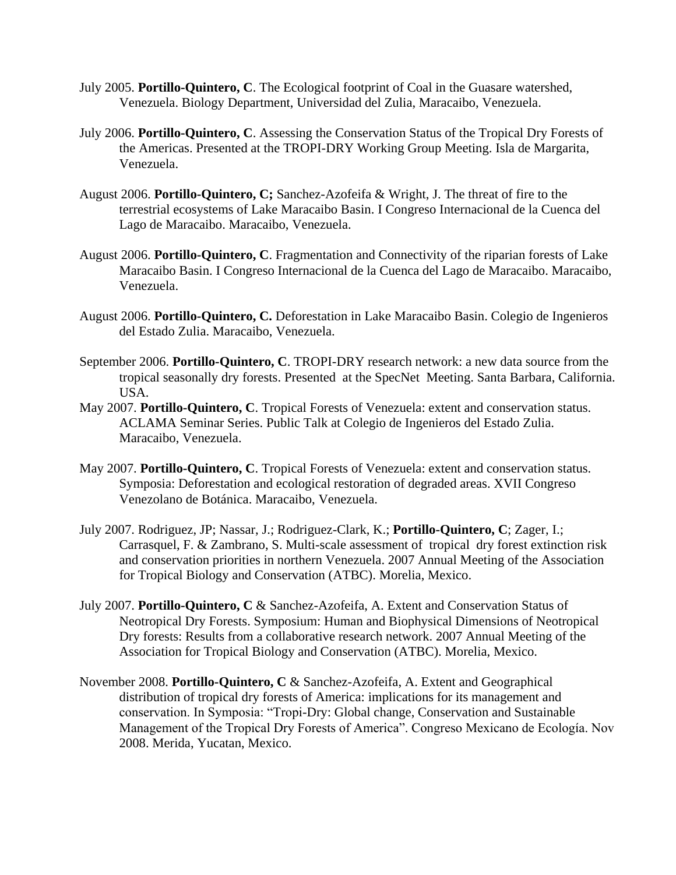- July 2005. **Portillo-Quintero, C**. The Ecological footprint of Coal in the Guasare watershed, Venezuela. Biology Department, Universidad del Zulia, Maracaibo, Venezuela.
- July 2006. **Portillo-Quintero, C**. Assessing the Conservation Status of the Tropical Dry Forests of the Americas. Presented at the TROPI-DRY Working Group Meeting. Isla de Margarita, Venezuela.
- August 2006. **Portillo-Quintero, C;** Sanchez-Azofeifa & Wright, J. The threat of fire to the terrestrial ecosystems of Lake Maracaibo Basin. I Congreso Internacional de la Cuenca del Lago de Maracaibo. Maracaibo, Venezuela.
- August 2006. **Portillo-Quintero, C**. Fragmentation and Connectivity of the riparian forests of Lake Maracaibo Basin. I Congreso Internacional de la Cuenca del Lago de Maracaibo. Maracaibo, Venezuela.
- August 2006. **Portillo-Quintero, C.** Deforestation in Lake Maracaibo Basin. Colegio de Ingenieros del Estado Zulia. Maracaibo, Venezuela.
- September 2006. **Portillo-Quintero, C**. TROPI-DRY research network: a new data source from the tropical seasonally dry forests. Presented at the SpecNet Meeting. Santa Barbara, California. USA.
- May 2007. **Portillo-Quintero, C**. Tropical Forests of Venezuela: extent and conservation status. ACLAMA Seminar Series. Public Talk at Colegio de Ingenieros del Estado Zulia. Maracaibo, Venezuela.
- May 2007. **Portillo-Quintero, C**. Tropical Forests of Venezuela: extent and conservation status. Symposia: Deforestation and ecological restoration of degraded areas. XVII Congreso Venezolano de Botánica. Maracaibo, Venezuela.
- July 2007. Rodriguez, JP; Nassar, J.; Rodriguez-Clark, K.; **Portillo-Quintero, C**; Zager, I.; Carrasquel, F. & Zambrano, S. Multi-scale assessment of tropical dry forest extinction risk and conservation priorities in northern Venezuela. 2007 Annual Meeting of the Association for Tropical Biology and Conservation (ATBC). Morelia, Mexico.
- July 2007. **Portillo-Quintero, C** & Sanchez-Azofeifa, A. Extent and Conservation Status of Neotropical Dry Forests. Symposium: Human and Biophysical Dimensions of Neotropical Dry forests: Results from a collaborative research network. 2007 Annual Meeting of the Association for Tropical Biology and Conservation (ATBC). Morelia, Mexico.
- November 2008. **Portillo-Quintero, C** & Sanchez-Azofeifa, A. Extent and Geographical distribution of tropical dry forests of America: implications for its management and conservation. In Symposia: "Tropi-Dry: Global change, Conservation and Sustainable Management of the Tropical Dry Forests of America". Congreso Mexicano de Ecología. Nov 2008. Merida, Yucatan, Mexico.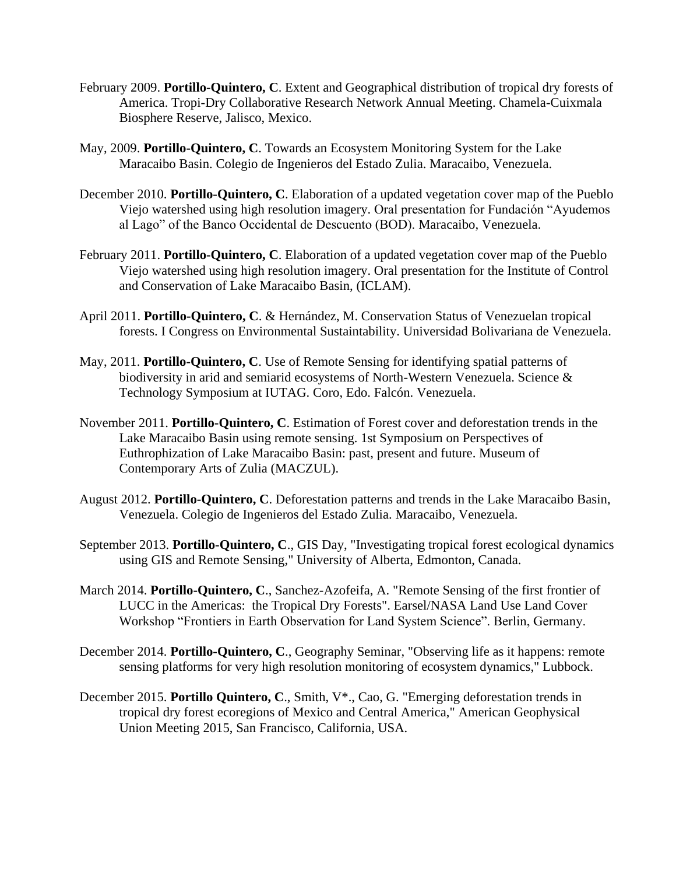- February 2009. **Portillo-Quintero, C**. Extent and Geographical distribution of tropical dry forests of America. Tropi-Dry Collaborative Research Network Annual Meeting. Chamela-Cuixmala Biosphere Reserve, Jalisco, Mexico.
- May, 2009. **Portillo-Quintero, C**. Towards an Ecosystem Monitoring System for the Lake Maracaibo Basin. Colegio de Ingenieros del Estado Zulia. Maracaibo, Venezuela.
- December 2010. **Portillo-Quintero, C**. Elaboration of a updated vegetation cover map of the Pueblo Viejo watershed using high resolution imagery. Oral presentation for Fundación "Ayudemos al Lago" of the Banco Occidental de Descuento (BOD). Maracaibo, Venezuela.
- February 2011. **Portillo-Quintero, C**. Elaboration of a updated vegetation cover map of the Pueblo Viejo watershed using high resolution imagery. Oral presentation for the Institute of Control and Conservation of Lake Maracaibo Basin, (ICLAM).
- April 2011. **Portillo-Quintero, C**. & Hernández, M. Conservation Status of Venezuelan tropical forests. I Congress on Environmental Sustaintability. Universidad Bolivariana de Venezuela.
- May, 2011. **Portillo-Quintero, C**. Use of Remote Sensing for identifying spatial patterns of biodiversity in arid and semiarid ecosystems of North-Western Venezuela. Science & Technology Symposium at IUTAG. Coro, Edo. Falcón. Venezuela.
- November 2011. **Portillo-Quintero, C**. Estimation of Forest cover and deforestation trends in the Lake Maracaibo Basin using remote sensing. 1st Symposium on Perspectives of Euthrophization of Lake Maracaibo Basin: past, present and future. Museum of Contemporary Arts of Zulia (MACZUL).
- August 2012. **Portillo-Quintero, C**. Deforestation patterns and trends in the Lake Maracaibo Basin, Venezuela. Colegio de Ingenieros del Estado Zulia. Maracaibo, Venezuela.
- September 2013. **Portillo-Quintero, C**., GIS Day, "Investigating tropical forest ecological dynamics using GIS and Remote Sensing," University of Alberta, Edmonton, Canada.
- March 2014. **Portillo-Quintero, C**., Sanchez-Azofeifa, A. "Remote Sensing of the first frontier of LUCC in the Americas: the Tropical Dry Forests". Earsel/NASA Land Use Land Cover Workshop "Frontiers in Earth Observation for Land System Science". Berlin, Germany.
- December 2014. **Portillo-Quintero, C**., Geography Seminar, "Observing life as it happens: remote sensing platforms for very high resolution monitoring of ecosystem dynamics," Lubbock.
- December 2015. **Portillo Quintero, C**., Smith, V\*., Cao, G. "Emerging deforestation trends in tropical dry forest ecoregions of Mexico and Central America," American Geophysical Union Meeting 2015, San Francisco, California, USA.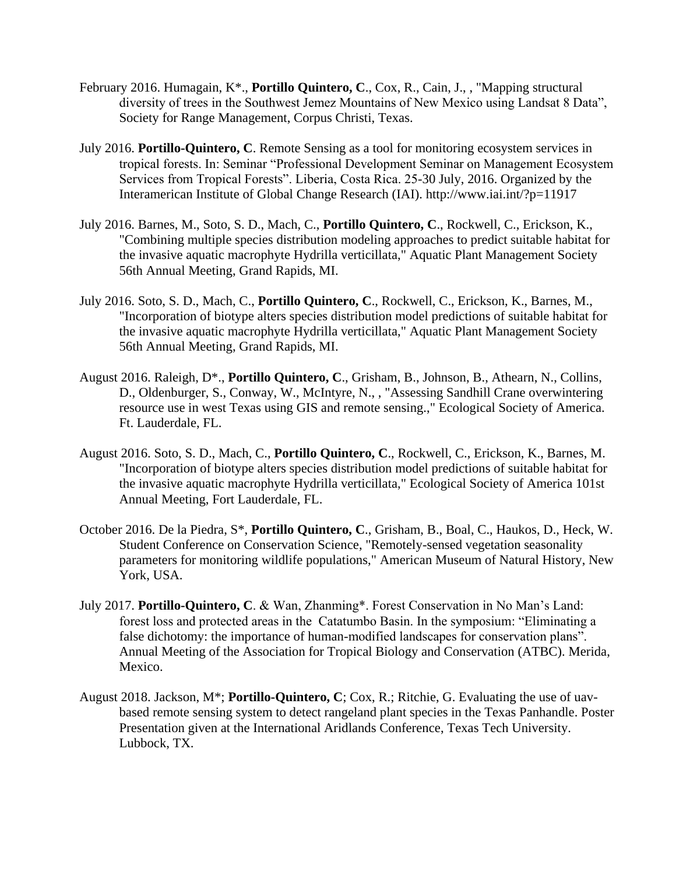- February 2016. Humagain, K\*., **Portillo Quintero, C**., Cox, R., Cain, J., , "Mapping structural diversity of trees in the Southwest Jemez Mountains of New Mexico using Landsat 8 Data", Society for Range Management, Corpus Christi, Texas.
- July 2016. **Portillo-Quintero, C**. Remote Sensing as a tool for monitoring ecosystem services in tropical forests. In: Seminar "Professional Development Seminar on Management Ecosystem Services from Tropical Forests". Liberia, Costa Rica. 25-30 July, 2016. Organized by the Interamerican Institute of Global Change Research (IAI). http://www.iai.int/?p=11917
- July 2016. Barnes, M., Soto, S. D., Mach, C., **Portillo Quintero, C**., Rockwell, C., Erickson, K., "Combining multiple species distribution modeling approaches to predict suitable habitat for the invasive aquatic macrophyte Hydrilla verticillata," Aquatic Plant Management Society 56th Annual Meeting, Grand Rapids, MI.
- July 2016. Soto, S. D., Mach, C., **Portillo Quintero, C**., Rockwell, C., Erickson, K., Barnes, M., "Incorporation of biotype alters species distribution model predictions of suitable habitat for the invasive aquatic macrophyte Hydrilla verticillata," Aquatic Plant Management Society 56th Annual Meeting, Grand Rapids, MI.
- August 2016. Raleigh, D\*., **Portillo Quintero, C**., Grisham, B., Johnson, B., Athearn, N., Collins, D., Oldenburger, S., Conway, W., McIntyre, N., , "Assessing Sandhill Crane overwintering resource use in west Texas using GIS and remote sensing.," Ecological Society of America. Ft. Lauderdale, FL.
- August 2016. Soto, S. D., Mach, C., **Portillo Quintero, C**., Rockwell, C., Erickson, K., Barnes, M. "Incorporation of biotype alters species distribution model predictions of suitable habitat for the invasive aquatic macrophyte Hydrilla verticillata," Ecological Society of America 101st Annual Meeting, Fort Lauderdale, FL.
- October 2016. De la Piedra, S\*, **Portillo Quintero, C**., Grisham, B., Boal, C., Haukos, D., Heck, W. Student Conference on Conservation Science, "Remotely-sensed vegetation seasonality parameters for monitoring wildlife populations," American Museum of Natural History, New York, USA.
- July 2017. **Portillo-Quintero, C**. & Wan, Zhanming\*. Forest Conservation in No Man's Land: forest loss and protected areas in the Catatumbo Basin. In the symposium: "Eliminating a false dichotomy: the importance of human-modified landscapes for conservation plans". Annual Meeting of the Association for Tropical Biology and Conservation (ATBC). Merida, Mexico.
- August 2018. Jackson, M\*; **Portillo-Quintero, C**; Cox, R.; Ritchie, G. Evaluating the use of uavbased remote sensing system to detect rangeland plant species in the Texas Panhandle. Poster Presentation given at the International Aridlands Conference, Texas Tech University. Lubbock, TX.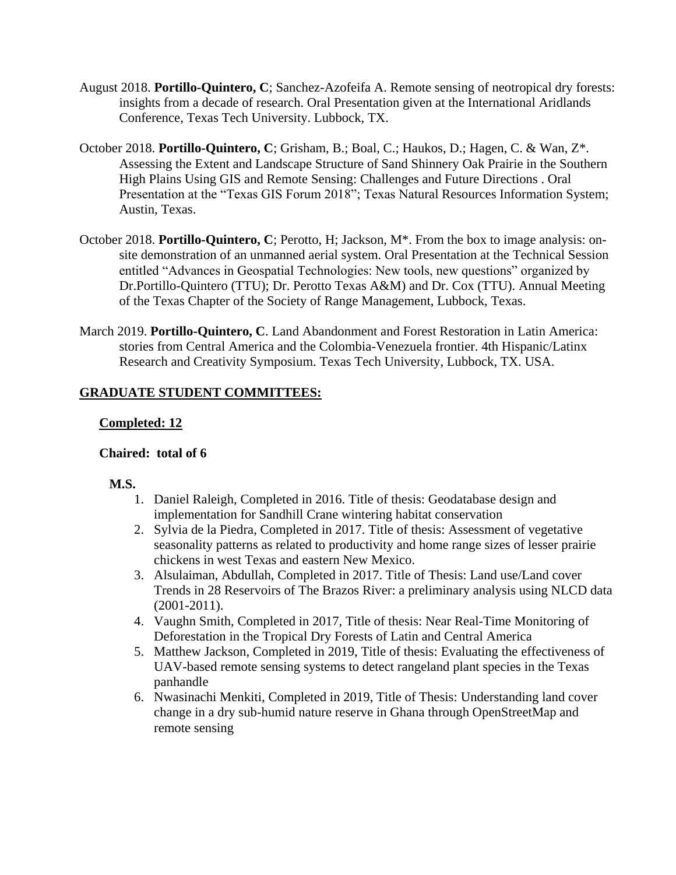- August 2018. **Portillo-Quintero, C**; Sanchez-Azofeifa A. Remote sensing of neotropical dry forests: insights from a decade of research. Oral Presentation given at the International Aridlands Conference, Texas Tech University. Lubbock, TX.
- October 2018. **Portillo-Quintero, C**; Grisham, B.; Boal, C.; Haukos, D.; Hagen, C. & Wan, Z\*. Assessing the Extent and Landscape Structure of Sand Shinnery Oak Prairie in the Southern High Plains Using GIS and Remote Sensing: Challenges and Future Directions . Oral Presentation at the "Texas GIS Forum 2018"; Texas Natural Resources Information System; Austin, Texas.
- October 2018. **Portillo-Quintero, C**; Perotto, H; Jackson, M\*. From the box to image analysis: onsite demonstration of an unmanned aerial system. Oral Presentation at the Technical Session entitled "Advances in Geospatial Technologies: New tools, new questions" organized by Dr.Portillo-Quintero (TTU); Dr. Perotto Texas A&M) and Dr. Cox (TTU). Annual Meeting of the Texas Chapter of the Society of Range Management, Lubbock, Texas.
- March 2019. **Portillo-Quintero, C**. Land Abandonment and Forest Restoration in Latin America: stories from Central America and the Colombia-Venezuela frontier. 4th Hispanic/Latinx Research and Creativity Symposium. Texas Tech University, Lubbock, TX. USA.

# **GRADUATE STUDENT COMMITTEES:**

# **Completed: 12**

### **Chaired: total of 6**

### **M.S.**

- 1. Daniel Raleigh, Completed in 2016. Title of thesis: Geodatabase design and implementation for Sandhill Crane wintering habitat conservation
- 2. Sylvia de la Piedra, Completed in 2017. Title of thesis: Assessment of vegetative seasonality patterns as related to productivity and home range sizes of lesser prairie chickens in west Texas and eastern New Mexico.
- 3. Alsulaiman, Abdullah, Completed in 2017. Title of Thesis: Land use/Land cover Trends in 28 Reservoirs of The Brazos River: a preliminary analysis using NLCD data (2001-2011).
- 4. Vaughn Smith, Completed in 2017, Title of thesis: Near Real-Time Monitoring of Deforestation in the Tropical Dry Forests of Latin and Central America
- 5. Matthew Jackson, Completed in 2019, Title of thesis: Evaluating the effectiveness of UAV-based remote sensing systems to detect rangeland plant species in the Texas panhandle
- 6. Nwasinachi Menkiti, Completed in 2019, Title of Thesis: Understanding land cover change in a dry sub-humid nature reserve in Ghana through OpenStreetMap and remote sensing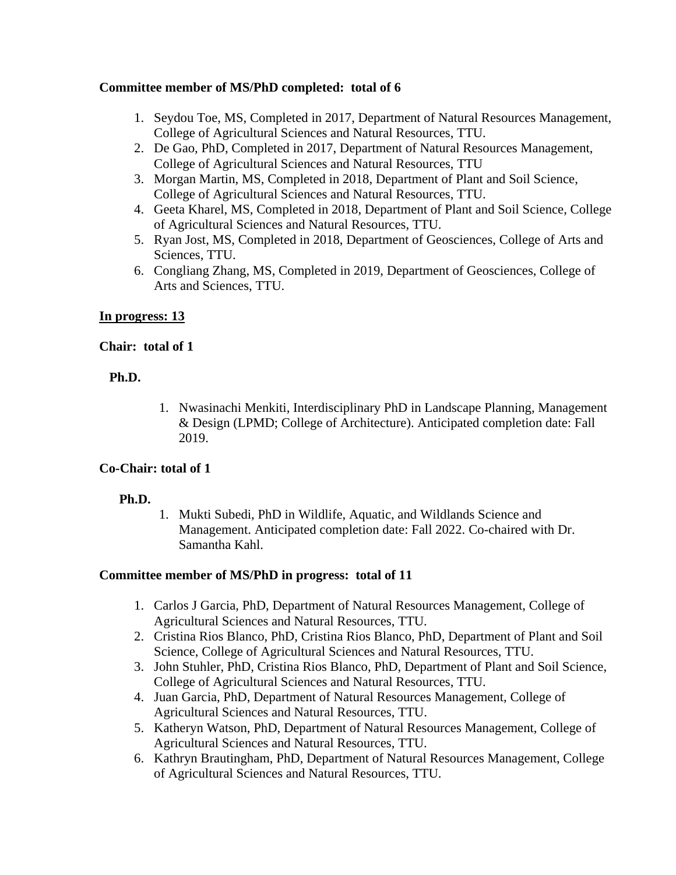### **Committee member of MS/PhD completed: total of 6**

- 1. Seydou Toe, MS, Completed in 2017, Department of Natural Resources Management, College of Agricultural Sciences and Natural Resources, TTU.
- 2. De Gao, PhD, Completed in 2017, Department of Natural Resources Management, College of Agricultural Sciences and Natural Resources, TTU
- 3. Morgan Martin, MS, Completed in 2018, Department of Plant and Soil Science, College of Agricultural Sciences and Natural Resources, TTU.
- 4. Geeta Kharel, MS, Completed in 2018, Department of Plant and Soil Science, College of Agricultural Sciences and Natural Resources, TTU.
- 5. Ryan Jost, MS, Completed in 2018, Department of Geosciences, College of Arts and Sciences, TTU.
- 6. Congliang Zhang, MS, Completed in 2019, Department of Geosciences, College of Arts and Sciences, TTU.

# **In progress: 13**

### **Chair: total of 1**

### **Ph.D.**

1. Nwasinachi Menkiti, Interdisciplinary PhD in Landscape Planning, Management & Design (LPMD; College of Architecture). Anticipated completion date: Fall 2019.

### **Co-Chair: total of 1**

### **Ph.D.**

1. Mukti Subedi, PhD in Wildlife, Aquatic, and Wildlands Science and Management. Anticipated completion date: Fall 2022. Co-chaired with Dr. Samantha Kahl.

### **Committee member of MS/PhD in progress: total of 11**

- 1. Carlos J Garcia, PhD, Department of Natural Resources Management, College of Agricultural Sciences and Natural Resources, TTU.
- 2. Cristina Rios Blanco, PhD, Cristina Rios Blanco, PhD, Department of Plant and Soil Science, College of Agricultural Sciences and Natural Resources, TTU.
- 3. John Stuhler, PhD, Cristina Rios Blanco, PhD, Department of Plant and Soil Science, College of Agricultural Sciences and Natural Resources, TTU.
- 4. Juan Garcia, PhD, Department of Natural Resources Management, College of Agricultural Sciences and Natural Resources, TTU.
- 5. Katheryn Watson, PhD, Department of Natural Resources Management, College of Agricultural Sciences and Natural Resources, TTU.
- 6. Kathryn Brautingham, PhD, Department of Natural Resources Management, College of Agricultural Sciences and Natural Resources, TTU.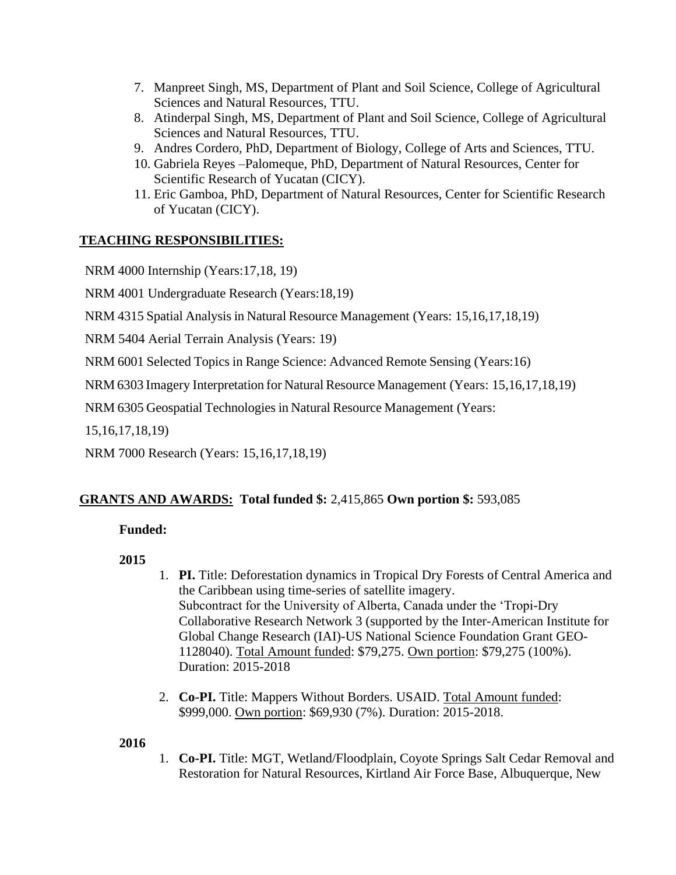- 7. Manpreet Singh, MS, Department of Plant and Soil Science, College of Agricultural Sciences and Natural Resources, TTU.
- 8. Atinderpal Singh, MS, Department of Plant and Soil Science, College of Agricultural Sciences and Natural Resources, TTU.
- 9. Andres Cordero, PhD, Department of Biology, College of Arts and Sciences, TTU.
- 10. Gabriela Reyes –Palomeque, PhD, Department of Natural Resources, Center for Scientific Research of Yucatan (CICY).
- 11. Eric Gamboa, PhD, Department of Natural Resources, Center for Scientific Research of Yucatan (CICY).

# **TEACHING RESPONSIBILITIES:**

NRM 4000 Internship (Years:17,18, 19)

NRM 4001 Undergraduate Research (Years:18,19)

NRM 4315 Spatial Analysis in Natural Resource Management (Years: 15,16,17,18,19)

NRM 5404 Aerial Terrain Analysis (Years: 19)

NRM 6001 Selected Topics in Range Science: Advanced Remote Sensing (Years:16)

NRM 6303 Imagery Interpretation for Natural Resource Management (Years: 15,16,17,18,19)

NRM 6305 Geospatial Technologies in Natural Resource Management (Years:

15,16,17,18,19)

NRM 7000 Research (Years: 15,16,17,18,19)

# **GRANTS AND AWARDS: Total funded \$:** 2,415,865 **Own portion \$:** 593,085

### **Funded:**

### **2015**

- 1. **PI.** Title: Deforestation dynamics in Tropical Dry Forests of Central America and the Caribbean using time-series of satellite imagery. Subcontract for the University of Alberta, Canada under the 'Tropi-Dry Collaborative Research Network 3 (supported by the Inter-American Institute for Global Change Research (IAI)-US National Science Foundation Grant GEO-1128040). Total Amount funded: \$79,275. Own portion: \$79,275 (100%). Duration: 2015-2018
- 2. **Co-PI.** Title: Mappers Without Borders. USAID. Total Amount funded: \$999,000. Own portion: \$69,930 (7%). Duration: 2015-2018.

### **2016**

1. **Co-PI.** Title: MGT, Wetland/Floodplain, Coyote Springs Salt Cedar Removal and Restoration for Natural Resources, Kirtland Air Force Base, Albuquerque, New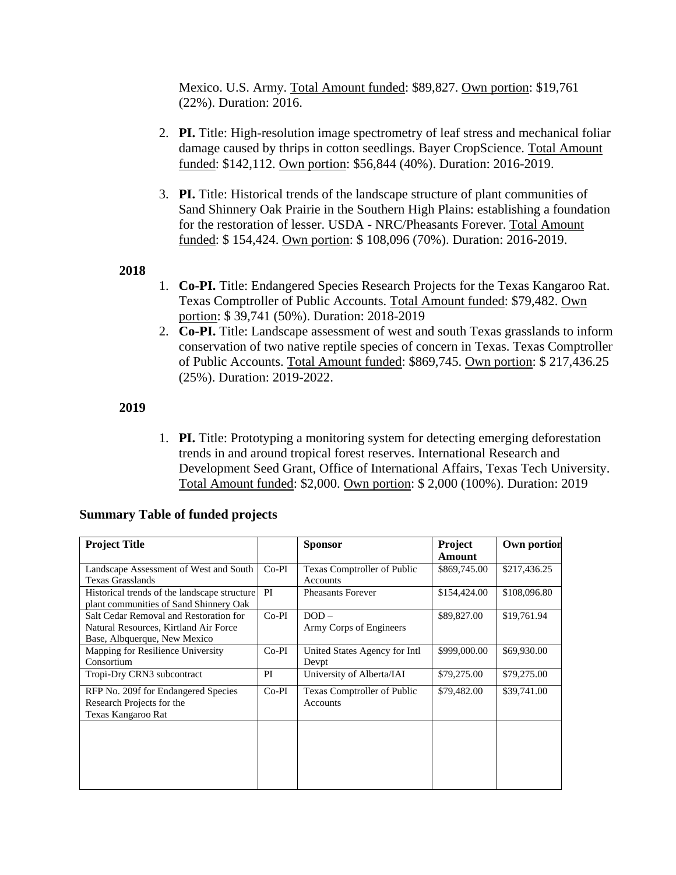Mexico. U.S. Army. Total Amount funded: \$89,827. Own portion: \$19,761 (22%). Duration: 2016.

- 2. **PI.** Title: High-resolution image spectrometry of leaf stress and mechanical foliar damage caused by thrips in cotton seedlings. Bayer CropScience. Total Amount funded: \$142,112. Own portion: \$56,844 (40%). Duration: 2016-2019.
- 3. **PI.** Title: Historical trends of the landscape structure of plant communities of Sand Shinnery Oak Prairie in the Southern High Plains: establishing a foundation for the restoration of lesser. USDA - NRC/Pheasants Forever. Total Amount funded: \$ 154,424. Own portion: \$ 108,096 (70%). Duration: 2016-2019.

#### **2018**

- 1. **Co-PI.** Title: Endangered Species Research Projects for the Texas Kangaroo Rat. Texas Comptroller of Public Accounts. Total Amount funded: \$79,482. Own portion: \$ 39,741 (50%). Duration: 2018-2019
- 2. **Co-PI.** Title: Landscape assessment of west and south Texas grasslands to inform conservation of two native reptile species of concern in Texas. Texas Comptroller of Public Accounts. Total Amount funded: \$869,745. Own portion: \$ 217,436.25 (25%). Duration: 2019-2022.

#### **2019**

1. **PI.** Title: Prototyping a monitoring system for detecting emerging deforestation trends in and around tropical forest reserves. International Research and Development Seed Grant, Office of International Affairs, Texas Tech University. Total Amount funded: \$2,000. Own portion: \$ 2,000 (100%). Duration: 2019

| <b>Project Title</b>                         |         | <b>Sponsor</b>                | Project      | Own portion  |
|----------------------------------------------|---------|-------------------------------|--------------|--------------|
|                                              |         |                               | Amount       |              |
| Landscape Assessment of West and South       | $Co-PI$ | Texas Comptroller of Public   | \$869,745.00 | \$217,436.25 |
| <b>Texas Grasslands</b>                      |         | Accounts                      |              |              |
| Historical trends of the landscape structure | PI      | <b>Pheasants Forever</b>      | \$154,424.00 | \$108,096.80 |
| plant communities of Sand Shinnery Oak       |         |                               |              |              |
| Salt Cedar Removal and Restoration for       | $Co-PI$ | $DOD -$                       | \$89,827.00  | \$19,761.94  |
| Natural Resources, Kirtland Air Force        |         | Army Corps of Engineers       |              |              |
| Base, Albquerque, New Mexico                 |         |                               |              |              |
| Mapping for Resilience University            | Co-PI   | United States Agency for Intl | \$999,000.00 | \$69,930.00  |
| Consortium                                   |         | Devpt                         |              |              |
| Tropi-Dry CRN3 subcontract                   | PI      | University of Alberta/IAI     | \$79,275.00  | \$79,275.00  |
| RFP No. 209f for Endangered Species          | $Co-PI$ | Texas Comptroller of Public   | \$79,482.00  | \$39,741.00  |
| Research Projects for the                    |         | Accounts                      |              |              |
| Texas Kangaroo Rat                           |         |                               |              |              |
|                                              |         |                               |              |              |
|                                              |         |                               |              |              |
|                                              |         |                               |              |              |
|                                              |         |                               |              |              |
|                                              |         |                               |              |              |
|                                              |         |                               |              |              |

# **Summary Table of funded projects**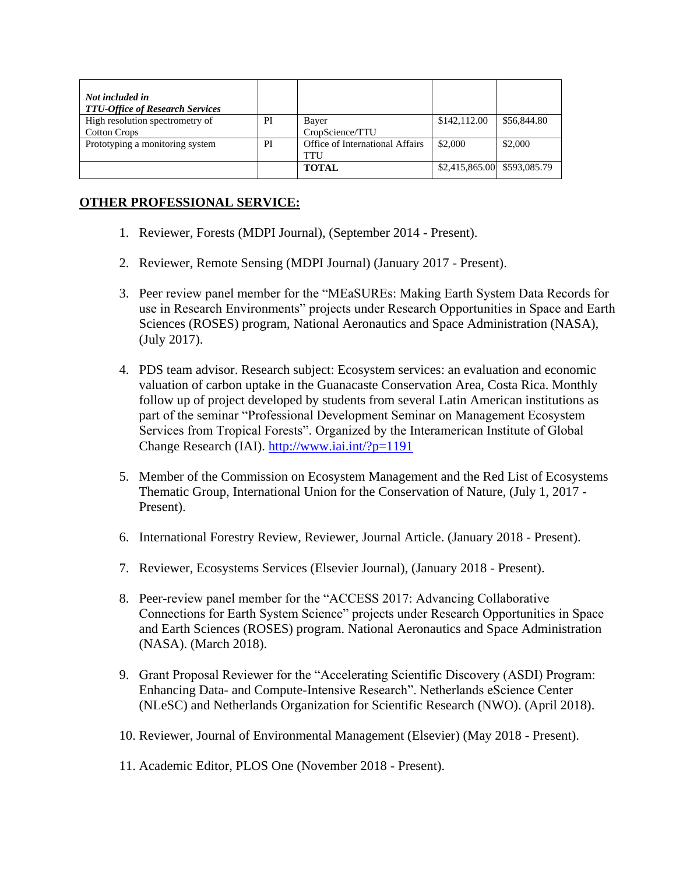| Not included in<br><b>TTU-Office of Research Services</b> |    |                                 |                             |             |
|-----------------------------------------------------------|----|---------------------------------|-----------------------------|-------------|
| High resolution spectrometry of                           | PI | Bayer                           | \$142,112.00                | \$56,844.80 |
| <b>Cotton Crops</b>                                       |    | CropScience/TTU                 |                             |             |
| Prototyping a monitoring system                           | PI | Office of International Affairs | \$2,000                     | \$2,000     |
|                                                           |    | TTU                             |                             |             |
|                                                           |    | <b>TOTAL</b>                    | \$2,415,865.00 \$593,085.79 |             |

### **OTHER PROFESSIONAL SERVICE:**

- 1. Reviewer, Forests (MDPI Journal), (September 2014 Present).
- 2. Reviewer, Remote Sensing (MDPI Journal) (January 2017 Present).
- 3. Peer review panel member for the "MEaSUREs: Making Earth System Data Records for use in Research Environments" projects under Research Opportunities in Space and Earth Sciences (ROSES) program, National Aeronautics and Space Administration (NASA), (July 2017).
- 4. PDS team advisor. Research subject: Ecosystem services: an evaluation and economic valuation of carbon uptake in the Guanacaste Conservation Area, Costa Rica. Monthly follow up of project developed by students from several Latin American institutions as part of the seminar "Professional Development Seminar on Management Ecosystem Services from Tropical Forests". Organized by the Interamerican Institute of Global Change Research (IAI).<http://www.iai.int/?p=1191>
- 5. Member of the Commission on Ecosystem Management and the Red List of Ecosystems Thematic Group, International Union for the Conservation of Nature, (July 1, 2017 - Present).
- 6. International Forestry Review, Reviewer, Journal Article. (January 2018 Present).
- 7. Reviewer, Ecosystems Services (Elsevier Journal), (January 2018 Present).
- 8. Peer-review panel member for the "ACCESS 2017: Advancing Collaborative Connections for Earth System Science" projects under Research Opportunities in Space and Earth Sciences (ROSES) program. National Aeronautics and Space Administration (NASA). (March 2018).
- 9. Grant Proposal Reviewer for the "Accelerating Scientific Discovery (ASDI) Program: Enhancing Data- and Compute-Intensive Research". Netherlands eScience Center (NLeSC) and Netherlands Organization for Scientific Research (NWO). (April 2018).
- 10. Reviewer, Journal of Environmental Management (Elsevier) (May 2018 Present).
- 11. Academic Editor, PLOS One (November 2018 Present).